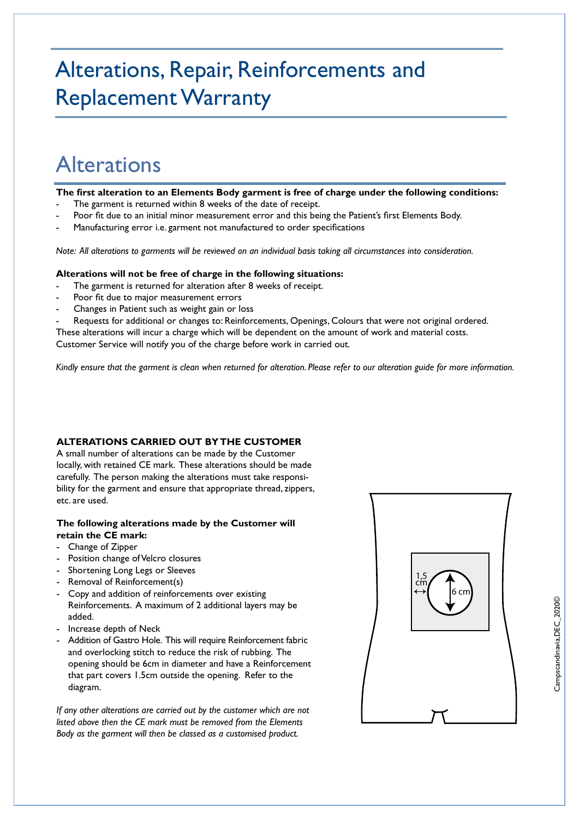# Alterations, Repair, Reinforcements and Replacement Warranty

## Alterations

**The first alteration to an Elements Body garment is free of charge under the following conditions:**

- The garment is returned within 8 weeks of the date of receipt.
- Poor fit due to an initial minor measurement error and this being the Patient's first Elements Body.
- Manufacturing error i.e. garment not manufactured to order specifications

*Note: All alterations to garments will be reviewed on an individual basis taking all circumstances into consideration.*

### **Alterations will not be free of charge in the following situations:**

- The garment is returned for alteration after 8 weeks of receipt.
- Poor fit due to major measurement errors
- Changes in Patient such as weight gain or loss

Requests for additional or changes to: Reinforcements, Openings, Colours that were not original ordered. These alterations will incur a charge which will be dependent on the amount of work and material costs. Customer Service will notify you of the charge before work in carried out.

*Kindly ensure that the garment is clean when returned for alteration. Please refer to our alteration guide for more information.*

### **ALTERATIONS CARRIED OUT BY THE CUSTOMER**

A small number of alterations can be made by the Customer locally, with retained CE mark. These alterations should be made carefully. The person making the alterations must take responsibility for the garment and ensure that appropriate thread, zippers, etc. are used.

### **The following alterations made by the Customer will retain the CE mark:**

- Change of Zipper
- Position change of Velcro closures
- Shortening Long Legs or Sleeves
- Removal of Reinforcement(s)
- Copy and addition of reinforcements over existing Reinforcements. A maximum of 2 additional layers may be added.
- Increase depth of Neck
- Addition of Gastro Hole. This will require Reinforcement fabric and overlocking stitch to reduce the risk of rubbing. The opening should be 6cm in diameter and have a Reinforcement that part covers 1.5cm outside the opening. Refer to the diagram.

*If any other alterations are carried out by the customer which are not listed above then the CE mark must be removed from the Elements Body as the garment will then be classed as a customised product.*